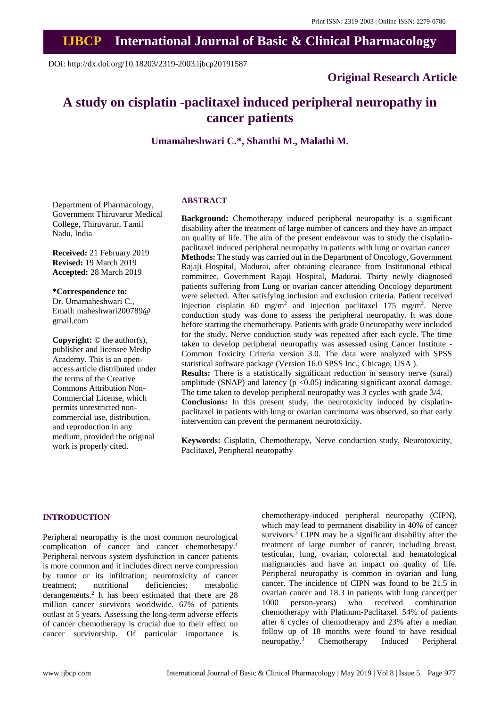## **IJBCP International Journal of Basic & Clinical Pharmacology**

DOI: http://dx.doi.org/10.18203/2319-2003.ijbcp20191587

### **Original Research Article**

# **A study on cisplatin -paclitaxel induced peripheral neuropathy in cancer patients**

**Umamaheshwari C.\*, Shanthi M., Malathi M.**

Department of Pharmacology, Government Thiruvarur Medical College, Thiruvarur, Tamil Nadu, India

**Received:** 21 February 2019 **Revised:** 19 March 2019 **Accepted:** 28 March 2019

**\*Correspondence to:** Dr. Umamaheshwari C., Email: maheshwari200789@ gmail.com

**Copyright:** © the author(s), publisher and licensee Medip Academy. This is an openaccess article distributed under the terms of the Creative Commons Attribution Non-Commercial License, which permits unrestricted noncommercial use, distribution, and reproduction in any medium, provided the original work is properly cited.

#### **ABSTRACT**

**Background:** Chemotherapy induced peripheral neuropathy is a significant disability after the treatment of large number of cancers and they have an impact on quality of life. The aim of the present endeavour was to study the cisplatinpaclitaxel induced peripheral neuropathy in patients with lung or ovarian cancer **Methods:** The study was carried out in the Department of Oncology, Government Rajaji Hospital, Madurai, after obtaining clearance from Institutional ethical committee, Government Rajaji Hospital, Madurai. Thirty newly diagnosed patients suffering from Lung or ovarian cancer attending Oncology department were selected. After satisfying inclusion and exclusion criteria. Patient received injection cisplatin 60 mg/m<sup>2</sup> and injection paclitaxel 175 mg/m<sup>2</sup>. Nerve conduction study was done to assess the peripheral neuropathy. It was done before starting the chemotherapy. Patients with grade 0 neuropathy were included for the study. Nerve conduction study was repeated after each cycle. The time taken to develop peripheral neuropathy was assessed using Cancer Institute - Common Toxicity Criteria version 3.0. The data were analyzed with SPSS statistical software package (Version 16.0 SPSS Inc., Chicago, USA ). **Results:** There is a statistically significant reduction in sensory nerve (sural) amplitude (SNAP) and latency  $(p \le 0.05)$  indicating significant axonal damage. The time taken to develop peripheral neuropathy was 3 cycles with grade 3/4. **Conclusions:** In this present study, the neurotoxicity induced by cisplatinpaclitaxel in patients with lung or ovarian carcinoma was observed, so that early intervention can prevent the permanent neurotoxicity.

**Keywords:** Cisplatin, Chemotherapy, Nerve conduction study, Neurotoxicity, Paclitaxel, Peripheral neuropathy

#### **INTRODUCTION**

Peripheral neuropathy is the most common neurological complication of cancer and cancer chemotherapy.<sup>1</sup> Peripheral nervous system dysfunction in cancer patients is more common and it includes direct nerve compression by tumor or its infiltration; neurotoxicity of cancer treatment; nutritional deficiencies; metabolic derangements.<sup>2</sup> It has been estimated that there are 28 million cancer survivors worldwide. 67% of patients outlast at 5 years. Assessing the long-term adverse effects of cancer chemotherapy is crucial due to their effect on cancer survivorship. Of particular importance is chemotherapy-induced peripheral neuropathy (CIPN), which may lead to permanent disability in 40% of cancer survivors.<sup>3</sup> CIPN may be a significant disability after the treatment of large number of cancer, including breast, testicular, lung, ovarian, colorectal and hematological malignancies and have an impact on quality of life. Peripheral neuropathy is common in ovarian and lung cancer. The incidence of CIPN was found to be 21.5 in ovarian cancer and 18.3 in patients with lung cancer(per 1000 person-years) who received combination chemotherapy with Platinum-Paclitaxel. 54% of patients after 6 cycles of chemotherapy and 23% after a median follow up of 18 months were found to have residual neuropathy.<sup>3</sup> Chemotherapy Induced Peripheral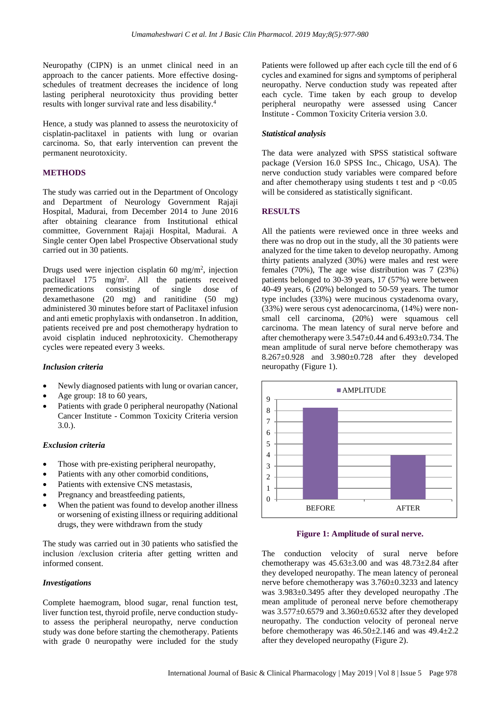Neuropathy (CIPN) is an unmet clinical need in an approach to the cancer patients. More effective dosingschedules of treatment decreases the incidence of long lasting peripheral neurotoxicity thus providing better results with longer survival rate and less disability.<sup>4</sup>

Hence, a study was planned to assess the neurotoxicity of cisplatin-paclitaxel in patients with lung or ovarian carcinoma. So, that early intervention can prevent the permanent neurotoxicity.

#### **METHODS**

The study was carried out in the Department of Oncology and Department of Neurology Government Rajaji Hospital, Madurai, from December 2014 to June 2016 after obtaining clearance from Institutional ethical committee, Government Rajaji Hospital, Madurai. A Single center Open label Prospective Observational study carried out in 30 patients.

Drugs used were injection cisplatin 60 mg/m<sup>2</sup> , injection paclitaxel 175 mg/m<sup>2</sup> . All the patients received premedications consisting of single dose of dexamethasone (20 mg) and ranitidine (50 mg) administered 30 minutes before start of Paclitaxel infusion and anti emetic prophylaxis with ondansetron . In addition, patients received pre and post chemotherapy hydration to avoid cisplatin induced nephrotoxicity. Chemotherapy cycles were repeated every 3 weeks.

#### *Inclusion criteria*

- Newly diagnosed patients with lung or ovarian cancer,
- Age group: 18 to 60 years,
- Patients with grade 0 peripheral neuropathy (National Cancer Institute - Common Toxicity Criteria version 3.0.).

#### *Exclusion criteria*

- Those with pre-existing peripheral neuropathy,
- Patients with any other comorbid conditions,
- Patients with extensive CNS metastasis,
- Pregnancy and breastfeeding patients,
- When the patient was found to develop another illness or worsening of existing illness or requiring additional drugs, they were withdrawn from the study

The study was carried out in 30 patients who satisfied the inclusion /exclusion criteria after getting written and informed consent.

#### *Investigations*

Complete haemogram, blood sugar, renal function test, liver function test, thyroid profile, nerve conduction studyto assess the peripheral neuropathy, nerve conduction study was done before starting the chemotherapy. Patients with grade 0 neuropathy were included for the study Patients were followed up after each cycle till the end of 6 cycles and examined for signs and symptoms of peripheral neuropathy. Nerve conduction study was repeated after each cycle. Time taken by each group to develop peripheral neuropathy were assessed using Cancer Institute - Common Toxicity Criteria version 3.0.

#### *Statistical analysis*

The data were analyzed with SPSS statistical software package (Version 16.0 SPSS Inc., Chicago, USA). The nerve conduction study variables were compared before and after chemotherapy using students t test and  $p < 0.05$ will be considered as statistically significant.

#### **RESULTS**

All the patients were reviewed once in three weeks and there was no drop out in the study, all the 30 patients were analyzed for the time taken to develop neuropathy. Among thirty patients analyzed (30%) were males and rest were females (70%), The age wise distribution was 7 (23%) patients belonged to 30-39 years, 17 (57%) were between 40-49 years, 6 (20%) belonged to 50-59 years. The tumor type includes (33%) were mucinous cystadenoma ovary, (33%) were serous cyst adenocarcinoma, (14%) were nonsmall cell carcinoma, (20%) were squamous cell carcinoma. The mean latency of sural nerve before and after chemotherapy were  $3.547 \pm 0.44$  and  $6.493 \pm 0.734$ . The mean amplitude of sural nerve before chemotherapy was 8.267±0.928 and 3.980±0.728 after they developed neuropathy (Figure 1).



**Figure 1: Amplitude of sural nerve.**

The conduction velocity of sural nerve before chemotherapy was  $45.63\pm3.00$  and was  $48.73\pm2.84$  after they developed neuropathy. The mean latency of peroneal nerve before chemotherapy was 3.760±0.3233 and latency was 3.983±0.3495 after they developed neuropathy .The mean amplitude of peroneal nerve before chemotherapy was 3.577±0.6579 and 3.360±0.6532 after they developed neuropathy. The conduction velocity of peroneal nerve before chemotherapy was  $46.50\pm2.146$  and was  $49.4\pm2.2$ after they developed neuropathy (Figure 2).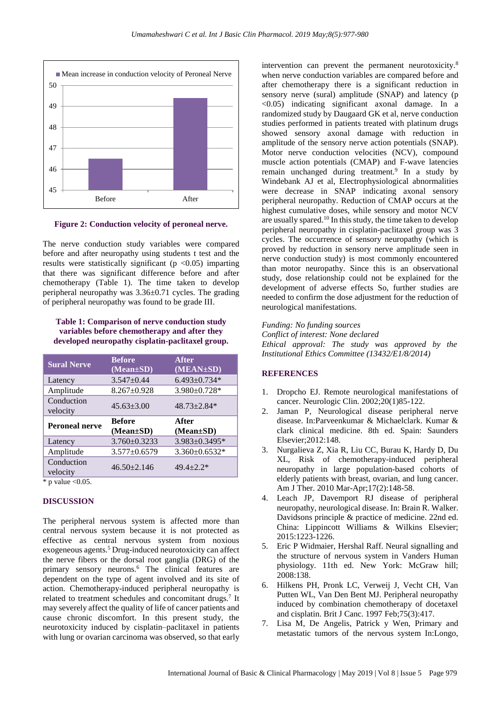

**Figure 2: Conduction velocity of peroneal nerve.**

The nerve conduction study variables were compared before and after neuropathy using students t test and the results were statistically significant ( $p \le 0.05$ ) imparting that there was significant difference before and after chemotherapy (Table 1). The time taken to develop peripheral neuropathy was 3.36±0.71 cycles. The grading of peripheral neuropathy was found to be grade III.

#### **Table 1: Comparison of nerve conduction study variables before chemotherapy and after they developed neuropathy cisplatin-paclitaxel group.**

| <b>Sural Nerve</b>     | <b>Before</b><br>$(Mean \pm SD)$ | <b>After</b><br>(MEAN±SD) |
|------------------------|----------------------------------|---------------------------|
| Latency                | $3.547 + 0.44$                   | $6.493 \pm 0.734*$        |
| Amplitude              | $8.267 \pm 0.928$                | 3.980±0.728*              |
| Conduction<br>velocity | $45.63 + 3.00$                   | $48.73 \pm 2.84*$         |
|                        |                                  |                           |
| <b>Peroneal nerve</b>  | <b>Before</b><br>$(Mean \pm SD)$ | After<br>$(Mean \pm SD)$  |
| Latency                | $3.760 \pm 0.3233$               | 3.983±0.3495*             |
| Amplitude              | $3.577 + 0.6579$                 | $3.360 \pm 0.6532*$       |

 $*$  p value < 0.05.

#### **DISCUSSION**

The peripheral nervous system is affected more than central nervous system because it is not protected as effective as central nervous system from noxious exogeneous agents.<sup>5</sup> Drug-induced neurotoxicity can affect the nerve fibers or the dorsal root ganglia (DRG) of the primary sensory neurons.<sup>6</sup> The clinical features are dependent on the type of agent involved and its site of action. Chemotherapy-induced peripheral neuropathy is related to treatment schedules and concomitant drugs.<sup>7</sup> It may severely affect the quality of life of cancer patients and cause chronic discomfort. In this present study, the neurotoxicity induced by cisplatin–paclitaxel in patients with lung or ovarian carcinoma was observed, so that early

intervention can prevent the permanent neurotoxicity.<sup>8</sup> when nerve conduction variables are compared before and after chemotherapy there is a significant reduction in sensory nerve (sural) amplitude (SNAP) and latency (p <0.05) indicating significant axonal damage. In a randomized study by Daugaard GK et al, nerve conduction studies performed in patients treated with platinum drugs showed sensory axonal damage with reduction in amplitude of the sensory nerve action potentials (SNAP). Motor nerve conduction velocities (NCV), compound muscle action potentials (CMAP) and F-wave latencies remain unchanged during treatment.<sup>9</sup> In a study by Windebank AJ et al, Electrophysiological abnormalities were decrease in SNAP indicating axonal sensory peripheral neuropathy. Reduction of CMAP occurs at the highest cumulative doses, while sensory and motor NCV are usually spared.<sup>10</sup> In this study, the time taken to develop peripheral neuropathy in cisplatin-paclitaxel group was 3 cycles. The occurrence of sensory neuropathy (which is proved by reduction in sensory nerve amplitude seen in nerve conduction study) is most commonly encountered than motor neuropathy. Since this is an observational study, dose relationship could not be explained for the development of adverse effects So, further studies are needed to confirm the dose adjustment for the reduction of neurological manifestations.

*Funding: No funding sources Conflict of interest: None declared Ethical approval: The study was approved by the Institutional Ethics Committee (13432/E1/8/2014)*

#### **REFERENCES**

- 1. Dropcho EJ. Remote neurological manifestations of cancer. Neurologic Clin. 2002;20(1)85-122.
- 2. Jaman P, Neurological disease peripheral nerve disease. In:Parveenkumar & Michaelclark. Kumar & clark clinical medicine. 8th ed. Spain: Saunders Elsevier;2012:148.
- 3. Nurgalieva Z, Xia R, Liu CC, Burau K, Hardy D, Du XL, Risk of chemotherapy-induced peripheral neuropathy in large population-based cohorts of elderly patients with breast, ovarian, and lung cancer. Am J Ther. 2010 Mar-Apr;17(2):148-58.
- 4. Leach JP, Davemport RJ disease of peripheral neuropathy, neurological disease. In: Brain R. Walker. Davidsons principle & practice of medicine. 22nd ed. China: Lippincott Williams & Wilkins Elsevier; 2015:1223-1226.
- 5. Eric P Widmaier, Hershal Raff. Neural signalling and the structure of nervous system in Vanders Human physiology. 11th ed. New York: McGraw hill; 2008:138.
- 6. Hilkens PH, Pronk LC, Verweij J, Vecht CH, Van Putten WL, Van Den Bent MJ. Peripheral neuropathy induced by combination chemotherapy of docetaxel and cisplatin. Brit J Canc. 1997 Feb;75(3):417.
- 7. Lisa M, De Angelis, Patrick y Wen, Primary and metastatic tumors of the nervous system In:Longo,